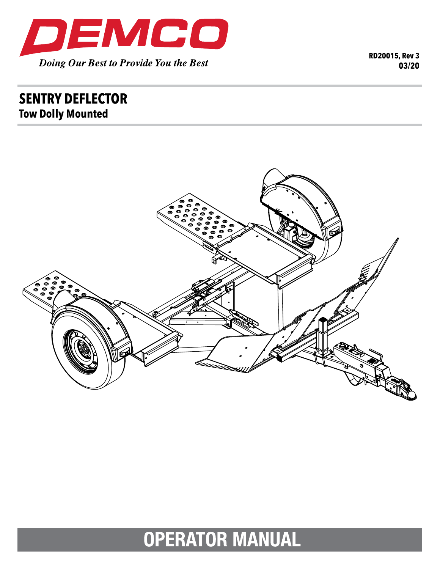

**RD20015, Rev 3 03/20**

## **sent ry deflecto r Tow Dolly Mounted**



# **OPERATOR MANUAL**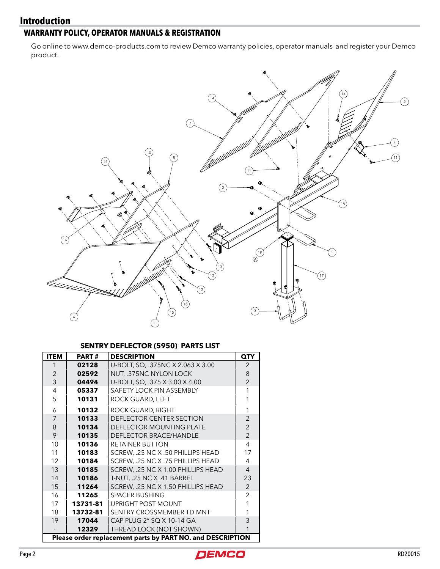#### **Introduction**

#### **WARRANTY POLICY, OPERATOR MANUALS & REGISTRATION**

Go online to www.demco-products.com to review Demco warranty policies, operator manuals and register your Demco product.



#### **SENTRY DEFLECTOR (5950) PARTS LIST**

| <b>ITEM</b>                                                | <b>PART#</b> | <b>DESCRIPTION</b>                 | <b>QTY</b>     |
|------------------------------------------------------------|--------------|------------------------------------|----------------|
|                                                            | 02128        | U-BOLT, SQ, .375NC X 2.063 X 3.00  | $\overline{2}$ |
| $\overline{2}$                                             | 02592        | NUT, .375NC NYLON LOCK             | 8              |
| 3                                                          | 04494        | U-BOLT, SQ, .375 X 3.00 X 4.00     | $\mathfrak{p}$ |
| 4                                                          | 05337        | SAFETY LOCK PIN ASSEMBLY           |                |
| 5                                                          | 10131        | ROCK GUARD, LEFT                   |                |
| 6                                                          | 10132        | ROCK GUARD, RIGHT                  |                |
| 7                                                          | 10133        | DEFLECTOR CENTER SECTION           | $\overline{2}$ |
| 8                                                          | 10134        | <b>DEFLECTOR MOUNTING PLATE</b>    | $\overline{2}$ |
| 9                                                          | 10135        | <b>DEFLECTOR BRACE/HANDLE</b>      | $\overline{2}$ |
| 10                                                         | 10136        | <b>RETAINER BUTTON</b>             | 4              |
| 11                                                         | 10183        | SCREW, .25 NC X .50 PHILLIPS HEAD  | 17             |
| 12                                                         | 10184        | SCREW, .25 NC X .75 PHILLIPS HEAD  | 4              |
| 13                                                         | 10185        | SCREW, .25 NC X 1.00 PHILLIPS HEAD | 4              |
| 14                                                         | 10186        | T-NUT, .25 NC X .41 BARREL         | 23             |
| 15                                                         | 11264        | SCREW, .25 NC X 1.50 PHILLIPS HEAD | $\overline{2}$ |
| 16                                                         | 11265        | <b>SPACER BUSHING</b>              | 2              |
| 17                                                         | 13731-81     | UPRIGHT POST MOUNT                 |                |
| 18                                                         | 13732-81     | SENTRY CROSSMEMBER TD MNT          |                |
| 19                                                         | 17044        | CAP PLUG 2" SQ X 10-14 GA          | 3              |
|                                                            | 12329        | THREAD LOCK (NOT SHOWN)            |                |
| Please order replacement parts by PART NO. and DESCRIPTION |              |                                    |                |

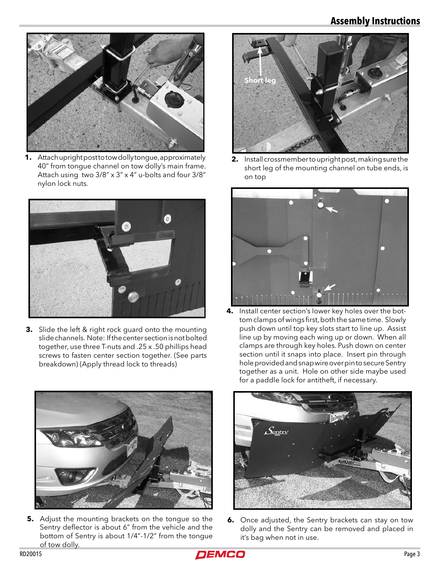### **Assembly Instructions**



**1.** Attach upright post to tow dolly tongue, approximately 40" from tongue channel on tow dolly's main frame. Attach using two 3/8" x 3" x 4" u-bolts and four 3/8" nylon lock nuts.



**3.** Slide the left & right rock guard onto the mounting slide channels. Note: If the center section is not bolted together, use three T-nuts and .25 x .50 phillips head screws to fasten center section together. (See parts breakdown) (Apply thread lock to threads)



**2.** Install crossmember to upright post, making sure the short leg of the mounting channel on tube ends, is on top



**4.** Install center section's lower key holes over the bottom clamps of wings first, both the same time. Slowly push down until top key slots start to line up. Assist line up by moving each wing up or down. When all clamps are through key holes. Push down on center section until it snaps into place. Insert pin through hole provided and snap wire over pin to secure Sentry together as a unit. Hole on other side maybe used for a paddle lock for antitheft, if necessary.



**5.** Adjust the mounting brackets on the tongue so the Sentry deflector is about 6" from the vehicle and the bottom of Sentry is about 1/4"-1/2" from the tongue of tow dolly.



**6.** Once adjusted, the Sentry brackets can stay on tow dolly and the Sentry can be removed and placed in it's bag when not in use.